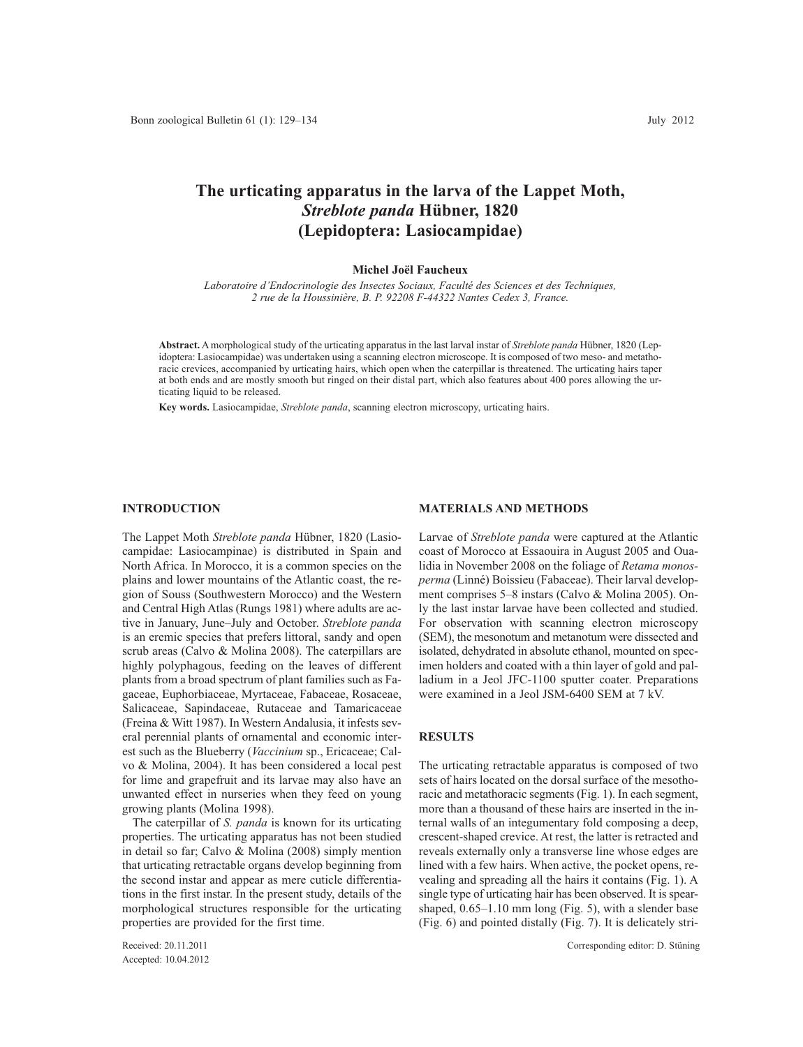# **The urticating apparatus in the larva of the Lappet Moth,** *Streblote panda* **Hübner, 1820 (Lepidoptera: Lasiocampidae)**

#### **Michel Joël Faucheux**

*Laboratoire d'Endocrinologie des Insectes Sociaux, Faculté des Sciences et des Techniques, 2 rue de la Houssinière, B. P. 92208 F-44322 Nantes Cedex 3, France.*

**Abstract.** A morphological study of the urticating apparatus in the last larval instar of *Streblote panda* Hübner, 1820 (Lepidoptera: Lasiocampidae) was undertaken using a scanning electron microscope. It is composed of two meso- and metathoracic crevices, accompanied by urticating hairs, which open when the caterpillar is threatened. The urticating hairs taper at both ends and are mostly smooth but ringed on their distal part, which also features about 400 pores allowing the urticating liquid to be released.

**Key words.** Lasiocampidae, *Streblote panda*, scanning electron microscopy, urticating hairs.

## **INTRODUCTION**

The Lappet Moth *Streblote panda* Hübner, 1820 (Lasiocampidae: Lasiocampinae) is distributed in Spain and North Africa. In Morocco, it is a common species on the plains and lower mountains of the Atlantic coast, the region of Souss (Southwestern Morocco) and the Western and Central High Atlas (Rungs 1981) where adults are active in January, June–July and October. *Streblote panda* is an eremic species that prefers littoral, sandy and open scrub areas (Calvo & Molina 2008). The caterpillars are highly polyphagous, feeding on the leaves of different plants from a broad spectrum of plant families such as Fagaceae, Euphorbiaceae, Myrtaceae, Fabaceae, Rosaceae, Salicaceae, Sapindaceae, Rutaceae and Tamaricaceae (Freina & Witt 1987). In Western Andalusia, it infests several perennial plants of ornamental and economic interest such as the Blueberry (*Vaccinium* sp., Ericaceae; Calvo & Molina, 2004). It has been considered a local pest for lime and grapefruit and its larvae may also have an unwanted effect in nurseries when they feed on young growing plants (Molina 1998).

The caterpillar of *S. panda* is known for its urticating properties. The urticating apparatus has not been studied in detail so far; Calvo & Molina (2008) simply mention that urticating retractable organs develop beginning from the second instar and appear as mere cuticle differentiations in the first instar. In the present study, details of the morphological structures responsible for the urticating properties are provided for the first time.

Accepted: 10.04.2012

### **MATERIALS AND METHODS**

Larvae of *Streblote panda* were captured at the Atlantic coast of Morocco at Essaouira in August 2005 and Oualidia in November 2008 on the foliage of *Retama monosperma* (Linné) Boissieu (Fabaceae). Their larval development comprises 5–8 instars (Calvo & Molina 2005). Only the last instar larvae have been collected and studied. For observation with scanning electron microscopy (SEM), the mesonotum and metanotum were dissected and isolated, dehydrated in absolute ethanol, mounted on specimen holders and coated with a thin layer of gold and palladium in a Jeol JFC-1100 sputter coater. Preparations were examined in a Jeol JSM-6400 SEM at 7 kV.

## **RESULTS**

The urticating retractable apparatus is composed of two sets of hairs located on the dorsal surface of the mesothoracic and metathoracic segments (Fig. 1). In each segment, more than a thousand of these hairs are inserted in the internal walls of an integumentary fold composing a deep, crescent-shaped crevice. At rest, the latter is retracted and reveals externally only a transverse line whose edges are lined with a few hairs. When active, the pocket opens, revealing and spreading all the hairs it contains (Fig. 1). A single type of urticating hair has been observed. It is spearshaped, 0.65–1.10 mm long (Fig. 5), with a slender base (Fig. 6) and pointed distally (Fig. 7). It is delicately stri-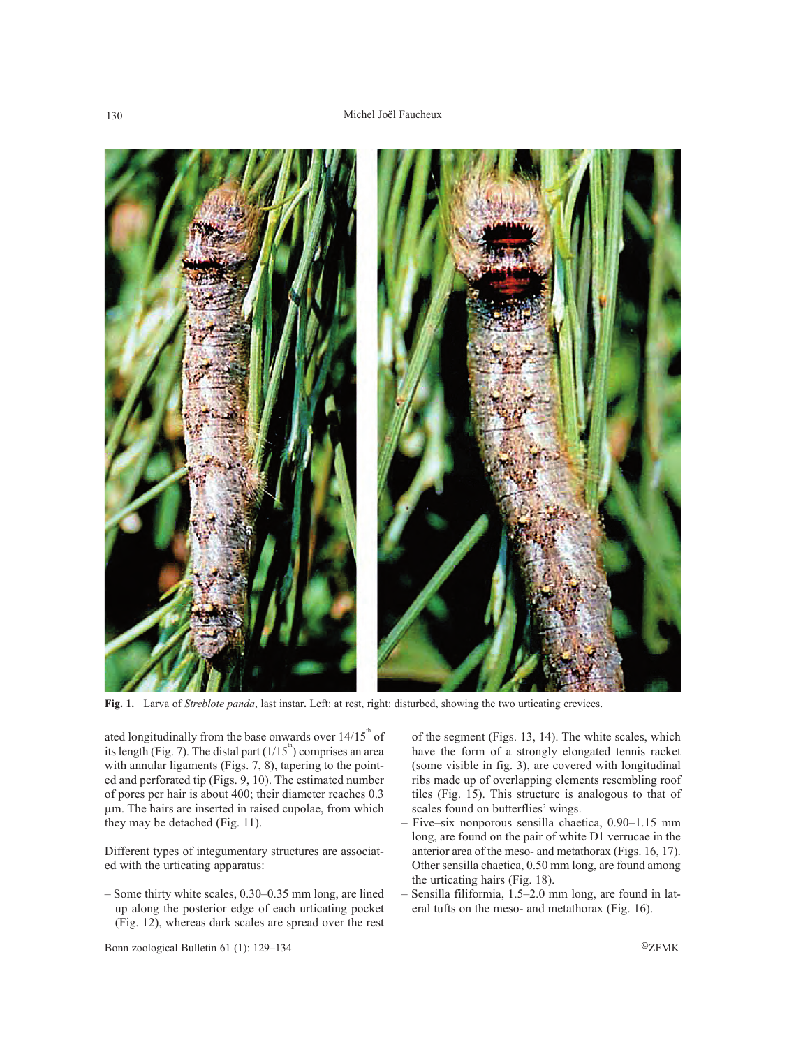

**Fig. 1.** Larva of *Streblote panda*, last instar**.** Left: at rest, right: disturbed, showing the two urticating crevices.

ated longitudinally from the base onwards over  $14/15<sup>th</sup>$  of its length (Fig. 7). The distal part  $(1/15<sup>m</sup>)$  comprises an area with annular ligaments (Figs. 7, 8), tapering to the pointed and perforated tip (Figs. 9, 10). The estimated number of pores per hair is about 400; their diameter reaches 0.3 µm. The hairs are inserted in raised cupolae, from which they may be detached (Fig. 11).

Different types of integumentary structures are associated with the urticating apparatus:

– Some thirty white scales, 0.30–0.35 mm long, are lined up along the posterior edge of each urticating pocket (Fig. 12), whereas dark scales are spread over the rest of the segment (Figs. 13, 14). The white scales, which have the form of a strongly elongated tennis racket (some visible in fig. 3), are covered with longitudinal ribs made up of overlapping elements resembling roof tiles (Fig. 15). This structure is analogous to that of scales found on butterflies' wings.

- Five–six nonporous sensilla chaetica, 0.90–1.15 mm long, are found on the pair of white D1 verrucae in the anterior area of the meso- and metathorax (Figs. 16, 17). Other sensilla chaetica, 0.50 mm long, are found among the urticating hairs (Fig. 18).
- Sensilla filiformia, 1.5–2.0 mm long, are found in lateral tufts on the meso- and metathorax (Fig. 16).

Bonn zoological Bulletin 61 (1): 129–134 ©ZFMK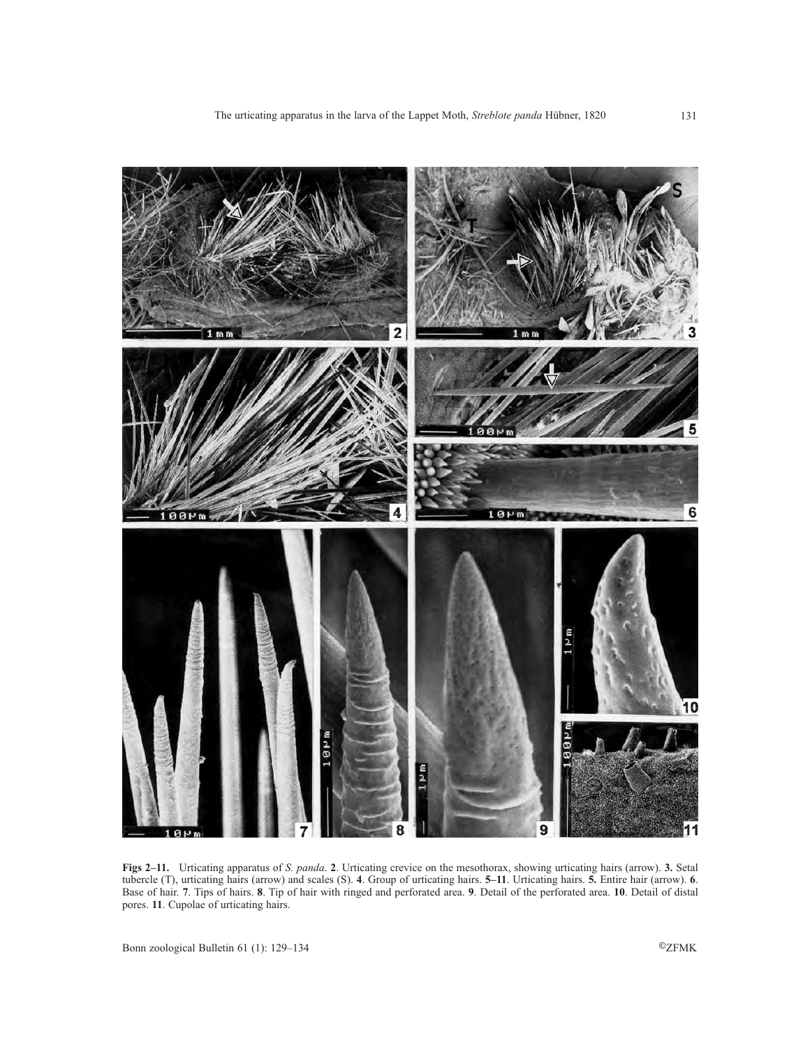

**Figs 2–11.** Urticating apparatus of *S. panda*. **2**. Urticating crevice on the mesothorax, showing urticating hairs (arrow). **3.** Setal tubercle (T), urticating hairs (arrow) and scales (S). **4**. Group of urticating hairs. **5–11**. Urticating hairs. **5.** Entire hair (arrow). **6**. Base of hair. **7**. Tips of hairs. **8**. Tip of hair with ringed and perforated area. **9**. Detail of the perforated area. **10**. Detail of distal pores. **11**. Cupolae of urticating hairs.

Bonn zoological Bulletin 61 (1): 129–134 ©ZFMK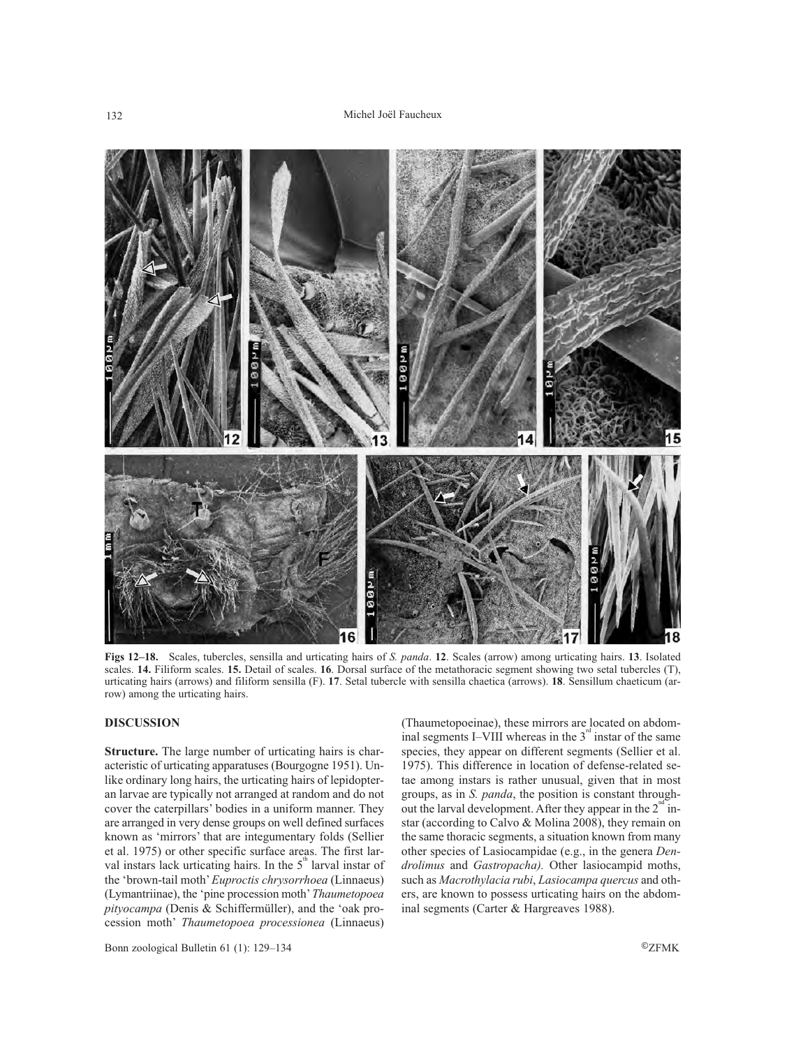

**Figs 12–18.** Scales, tubercles, sensilla and urticating hairs of *S. panda*. **12**. Scales (arrow) among urticating hairs. **13**. Isolated scales. **14.** Filiform scales. **15.** Detail of scales. **16**. Dorsal surface of the metathoracic segment showing two setal tubercles (T), urticating hairs (arrows) and filiform sensilla (F). **17**. Setal tubercle with sensilla chaetica (arrows). **18**. Sensillum chaeticum (arrow) among the urticating hairs.

## **DISCUSSION**

**Structure.** The large number of urticating hairs is characteristic of urticating apparatuses (Bourgogne 1951). Unlike ordinary long hairs, the urticating hairs of lepidopteran larvae are typically not arranged at random and do not cover the caterpillars' bodies in a uniform manner. They are arranged in very dense groups on well defined surfaces known as 'mirrors' that are integumentary folds (Sellier et al. 1975) or other specific surface areas. The first larval instars lack urticating hairs. In the  $5<sup>m</sup>$  larval instar of the 'brown-tail moth' *Euproctis chrysorrhoea* (Linnaeus) (Lymantriinae), the 'pine procession moth' *Thaumetopoea pityocampa* (Denis & Schiffermüller), and the 'oak procession moth' *Thaumetopoea processionea* (Linnaeus)

(Thaumetopoeinae), these mirrors are located on abdominal segments I–VIII whereas in the  $3<sup>nd</sup>$  instar of the same species, they appear on different segments (Sellier et al. 1975). This difference in location of defense-related setae among instars is rather unusual, given that in most groups, as in *S. panda*, the position is constant throughout the larval development. After they appear in the  $2<sup>m</sup>$  instar (according to Calvo & Molina 2008), they remain on the same thoracic segments, a situation known from many other species of Lasiocampidae (e.g., in the genera *Dendrolimus* and *Gastropacha).* Other lasiocampid moths, such as *Macrothylacia rubi*, *Lasiocampa quercus* and others, are known to possess urticating hairs on the abdominal segments (Carter & Hargreaves 1988).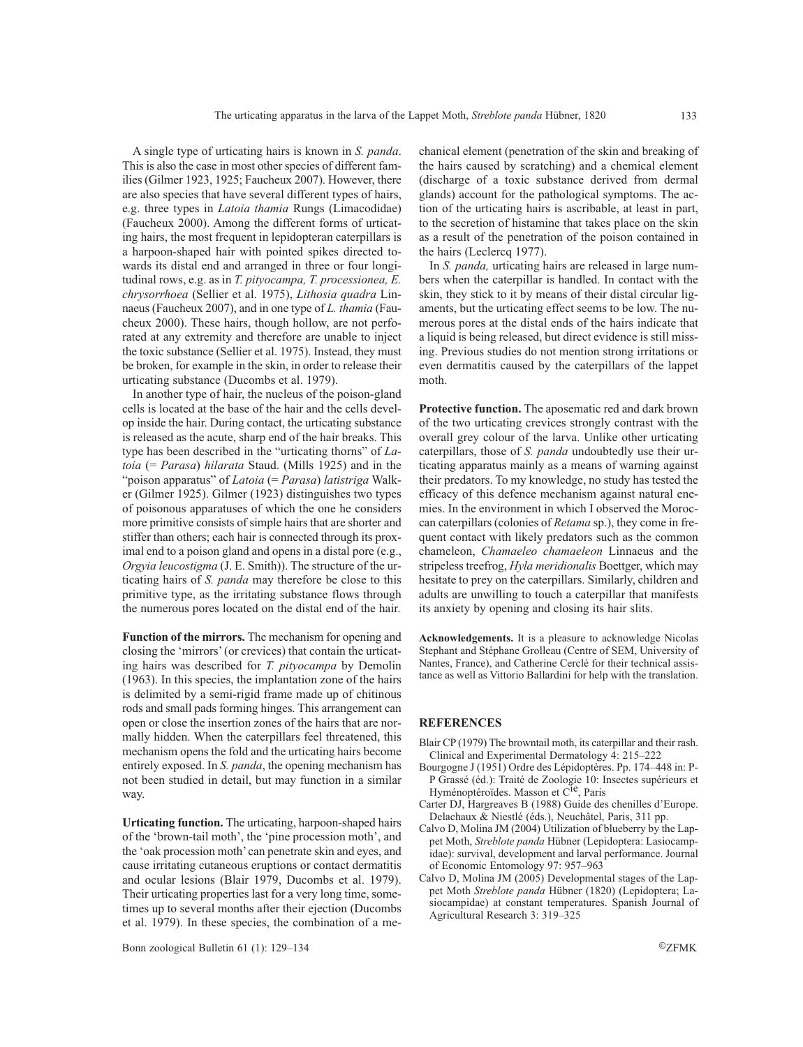A single type of urticating hairs is known in *S. panda*. This is also the case in most other species of different families (Gilmer 1923, 1925; Faucheux 2007). However, there are also species that have several different types of hairs, e.g. three types in *Latoia thamia* Rungs (Limacodidae) (Faucheux 2000). Among the different forms of urticating hairs, the most frequent in lepidopteran caterpillars is a harpoon-shaped hair with pointed spikes directed towards its distal end and arranged in three or four longitudinal rows, e.g. as in *T. pityocampa, T. processionea, E. chrysorrhoea* (Sellier et al. 1975), *Lithosia quadra* Linnaeus (Faucheux 2007), and in one type of *L. thamia* (Faucheux 2000). These hairs, though hollow, are not perforated at any extremity and therefore are unable to inject the toxic substance (Sellier et al. 1975). Instead, they must be broken, for example in the skin, in order to release their urticating substance (Ducombs et al. 1979).

In another type of hair, the nucleus of the poison-gland cells is located at the base of the hair and the cells develop inside the hair. During contact, the urticating substance is released as the acute, sharp end of the hair breaks. This type has been described in the "urticating thorns" of *Latoia* (= *Parasa*) *hilarata* Staud. (Mills 1925) and in the "poison apparatus" of *Latoia* (= *Parasa*) *latistriga* Walker (Gilmer 1925). Gilmer (1923) distinguishes two types of poisonous apparatuses of which the one he considers more primitive consists of simple hairs that are shorter and stiffer than others; each hair is connected through its proximal end to a poison gland and opens in a distal pore (e.g., *Orgyia leucostigma* (J. E. Smith)). The structure of the urticating hairs of *S. panda* may therefore be close to this primitive type, as the irritating substance flows through the numerous pores located on the distal end of the hair.

**Function of the mirrors.** The mechanism for opening and closing the 'mirrors' (or crevices) that contain the urticating hairs was described for *T. pityocampa* by Demolin (1963). In this species, the implantation zone of the hairs is delimited by a semi-rigid frame made up of chitinous rods and small pads forming hinges. This arrangement can open or close the insertion zones of the hairs that are normally hidden. When the caterpillars feel threatened, this mechanism opens the fold and the urticating hairs become entirely exposed. In *S. panda*, the opening mechanism has not been studied in detail, but may function in a similar way.

**Urticating function.** The urticating, harpoon-shaped hairs of the 'brown-tail moth', the 'pine procession moth', and the 'oak procession moth' can penetrate skin and eyes, and cause irritating cutaneous eruptions or contact dermatitis and ocular lesions (Blair 1979, Ducombs et al. 1979). Their urticating properties last for a very long time, sometimes up to several months after their ejection (Ducombs et al. 1979). In these species, the combination of a mechanical element (penetration of the skin and breaking of the hairs caused by scratching) and a chemical element (discharge of a toxic substance derived from dermal glands) account for the pathological symptoms. The action of the urticating hairs is ascribable, at least in part, to the secretion of histamine that takes place on the skin as a result of the penetration of the poison contained in the hairs (Leclercq 1977).

In *S. panda,* urticating hairs are released in large numbers when the caterpillar is handled. In contact with the skin, they stick to it by means of their distal circular ligaments, but the urticating effect seems to be low. The numerous pores at the distal ends of the hairs indicate that a liquid is being released, but direct evidence is still missing. Previous studies do not mention strong irritations or even dermatitis caused by the caterpillars of the lappet moth.

**Protective function.** The aposematic red and dark brown of the two urticating crevices strongly contrast with the overall grey colour of the larva. Unlike other urticating caterpillars, those of *S. panda* undoubtedly use their urticating apparatus mainly as a means of warning against their predators. To my knowledge, no study has tested the efficacy of this defence mechanism against natural enemies. In the environment in which I observed the Moroccan caterpillars (colonies of *Retama* sp.), they come in frequent contact with likely predators such as the common chameleon, *Chamaeleo chamaeleon* Linnaeus and the stripeless treefrog, *Hyla meridionalis* Boettger, which may hesitate to prey on the caterpillars. Similarly, children and adults are unwilling to touch a caterpillar that manifests its anxiety by opening and closing its hair slits.

**Acknowledgements.** It is a pleasure to acknowledge Nicolas Stephant and Stéphane Grolleau (Centre of SEM, University of Nantes, France), and Catherine Cerclé for their technical assistance as well as Vittorio Ballardini for help with the translation.

## **REFERENCES**

- Blair CP (1979) The browntail moth, its caterpillar and their rash. Clinical and Experimental Dermatology 4: 215–222
- Bourgogne J (1951) Ordre des Lépidoptères. Pp. 174–448 in: P-P Grassé (éd.): Traité de Zoologie 10: Insectes supérieurs et Hyménoptéroïdes. Masson et C<sup>ie</sup>, Paris
- Carter DJ, Hargreaves B (1988) Guide des chenilles d'Europe. Delachaux & Niestlé (éds.), Neuchâtel, Paris, 311 pp.
- Calvo D, Molina JM (2004) Utilization of blueberry by the Lappet Moth, *Streblote panda* Hübner (Lepidoptera: Lasiocampidae): survival, development and larval performance. Journal of Economic Entomology 97: 957–963
- Calvo D, Molina JM (2005) Developmental stages of the Lappet Moth *Streblote panda* Hübner (1820) (Lepidoptera; Lasiocampidae) at constant temperatures. Spanish Journal of Agricultural Research 3: 319–325